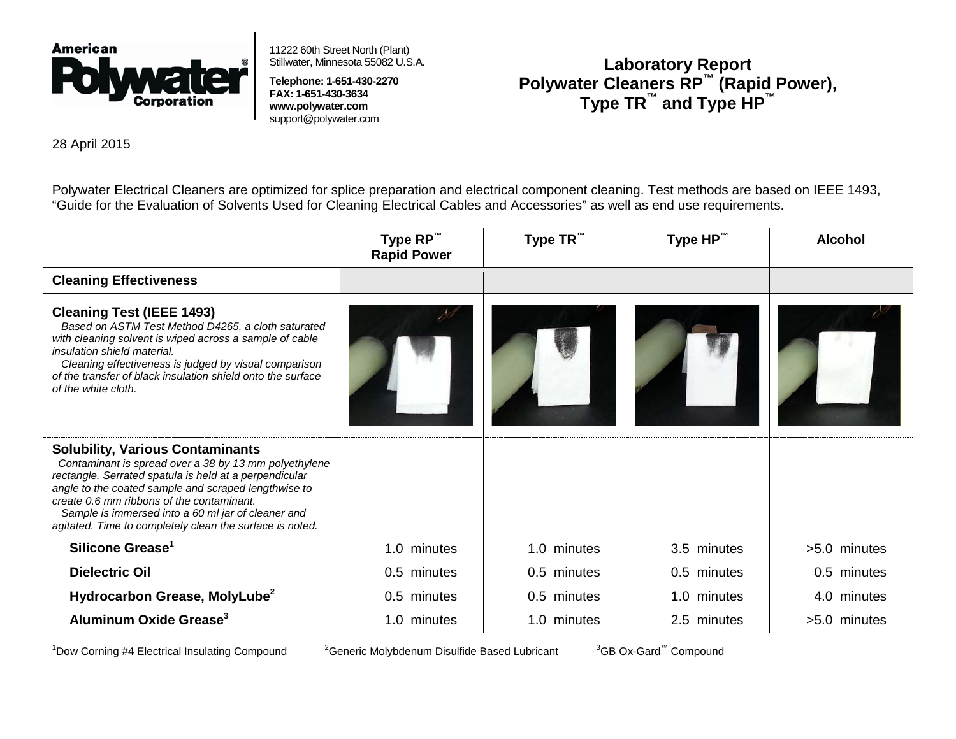

11222 60th Street North (Plant) Stillwater, Minnesota 55082 U.S.A.

**Telephone: 1-651-430-2270 FAX: 1-651-430-3634 www.polywater.com** support@polywater.co[m](http://www.polywater.com/)

## **Laboratory Report Polywater Cleaners RP™ (Rapid Power), Type TR™ and Type HP™**

28 April 2015

Polywater Electrical Cleaners are optimized for splice preparation and electrical component cleaning. Test methods are based on IEEE 1493, "Guide for the Evaluation of Solvents Used for Cleaning Electrical Cables and Accessories" as well as end use requirements.

|                                                                                                                                                                                                                                                                                                                                                                                   | Type $RP^™$<br><b>Rapid Power</b> | Type TR™    | Type HP™    | <b>Alcohol</b> |
|-----------------------------------------------------------------------------------------------------------------------------------------------------------------------------------------------------------------------------------------------------------------------------------------------------------------------------------------------------------------------------------|-----------------------------------|-------------|-------------|----------------|
| <b>Cleaning Effectiveness</b>                                                                                                                                                                                                                                                                                                                                                     |                                   |             |             |                |
| <b>Cleaning Test (IEEE 1493)</b><br>Based on ASTM Test Method D4265, a cloth saturated<br>with cleaning solvent is wiped across a sample of cable<br>insulation shield material.<br>Cleaning effectiveness is judged by visual comparison<br>of the transfer of black insulation shield onto the surface<br>of the white cloth.                                                   |                                   |             |             |                |
| <b>Solubility, Various Contaminants</b><br>Contaminant is spread over a 38 by 13 mm polyethylene<br>rectangle. Serrated spatula is held at a perpendicular<br>angle to the coated sample and scraped lengthwise to<br>create 0.6 mm ribbons of the contaminant.<br>Sample is immersed into a 60 ml jar of cleaner and<br>agitated. Time to completely clean the surface is noted. |                                   |             |             |                |
| Silicone Grease <sup>1</sup>                                                                                                                                                                                                                                                                                                                                                      | 1.0 minutes                       | 1.0 minutes | 3.5 minutes | >5.0 minutes   |
| <b>Dielectric Oil</b>                                                                                                                                                                                                                                                                                                                                                             | 0.5 minutes                       | 0.5 minutes | 0.5 minutes | 0.5 minutes    |
| Hydrocarbon Grease, MolyLube <sup>2</sup>                                                                                                                                                                                                                                                                                                                                         | 0.5 minutes                       | 0.5 minutes | 1.0 minutes | 4.0 minutes    |
| Aluminum Oxide Grease <sup>3</sup>                                                                                                                                                                                                                                                                                                                                                | 1.0 minutes                       | 1.0 minutes | 2.5 minutes | >5.0 minutes   |

 $1$ Dow Corning #4 Electrical Insulating Compound  $2$ 

<sup>2</sup> Generic Molybdenum Disulfide Based Lubricant

<sup>3</sup>GB Ox-Gard<sup>™</sup> Compound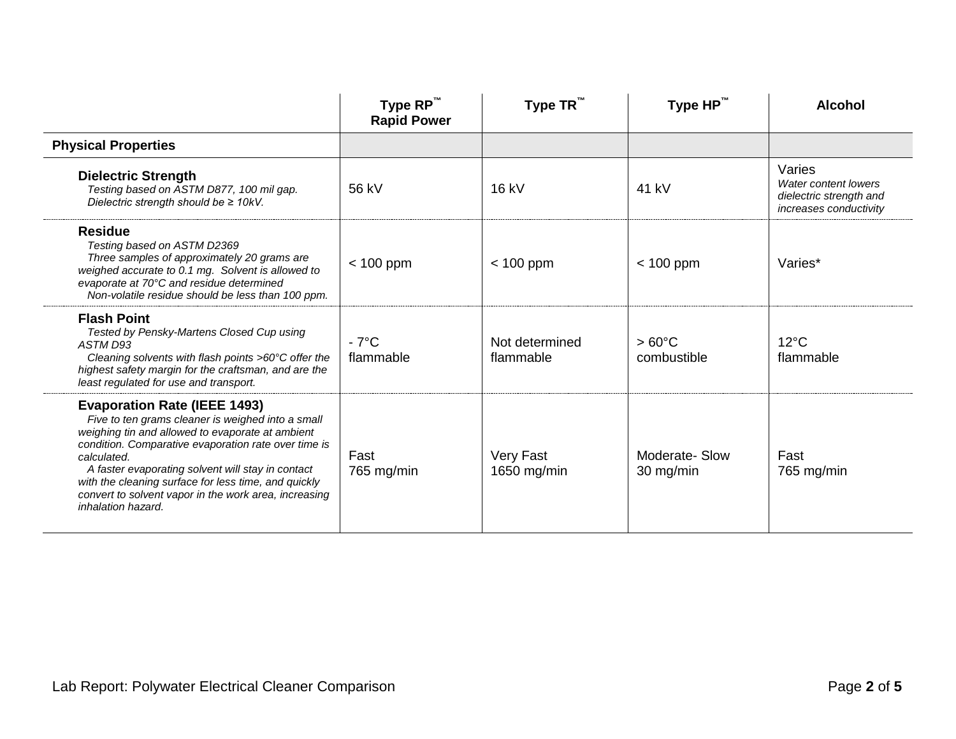|                                                                                                                                                                                                                                                                                                                                                                                                                 | Type RP™<br><b>Rapid Power</b> | Type $TR^{\mathbb{N}}$      | Type $HP^{\mathsf{m}}$         | <b>Alcohol</b>                                                                      |
|-----------------------------------------------------------------------------------------------------------------------------------------------------------------------------------------------------------------------------------------------------------------------------------------------------------------------------------------------------------------------------------------------------------------|--------------------------------|-----------------------------|--------------------------------|-------------------------------------------------------------------------------------|
| <b>Physical Properties</b>                                                                                                                                                                                                                                                                                                                                                                                      |                                |                             |                                |                                                                                     |
| <b>Dielectric Strength</b><br>Testing based on ASTM D877, 100 mil gap.<br>Dielectric strength should be $\geq$ 10kV.                                                                                                                                                                                                                                                                                            | 56 kV                          | 16 kV                       | 41 kV                          | Varies<br>Water content lowers<br>dielectric strength and<br>increases conductivity |
| <b>Residue</b><br>Testing based on ASTM D2369<br>Three samples of approximately 20 grams are<br>weighed accurate to 0.1 mg. Solvent is allowed to<br>evaporate at 70°C and residue determined<br>Non-volatile residue should be less than 100 ppm.                                                                                                                                                              | $< 100$ ppm                    | $< 100$ ppm                 | $< 100$ ppm                    | Varies*                                                                             |
| <b>Flash Point</b><br>Tested by Pensky-Martens Closed Cup using<br>ASTM D93<br>Cleaning solvents with flash points $>60^{\circ}$ C offer the<br>highest safety margin for the craftsman, and are the<br>least regulated for use and transport.                                                                                                                                                                  | $-7^{\circ}$ C<br>flammable    | Not determined<br>flammable | $>60^{\circ}$ C<br>combustible | $12^{\circ}$ C<br>flammable                                                         |
| <b>Evaporation Rate (IEEE 1493)</b><br>Five to ten grams cleaner is weighed into a small<br>weighing tin and allowed to evaporate at ambient<br>condition. Comparative evaporation rate over time is<br>calculated.<br>A faster evaporating solvent will stay in contact<br>with the cleaning surface for less time, and quickly<br>convert to solvent vapor in the work area, increasing<br>inhalation hazard. | Fast<br>$765$ mg/min           | Very Fast<br>1650 mg/min    | Moderate-Slow<br>30 mg/min     | Fast<br>$765$ mg/min                                                                |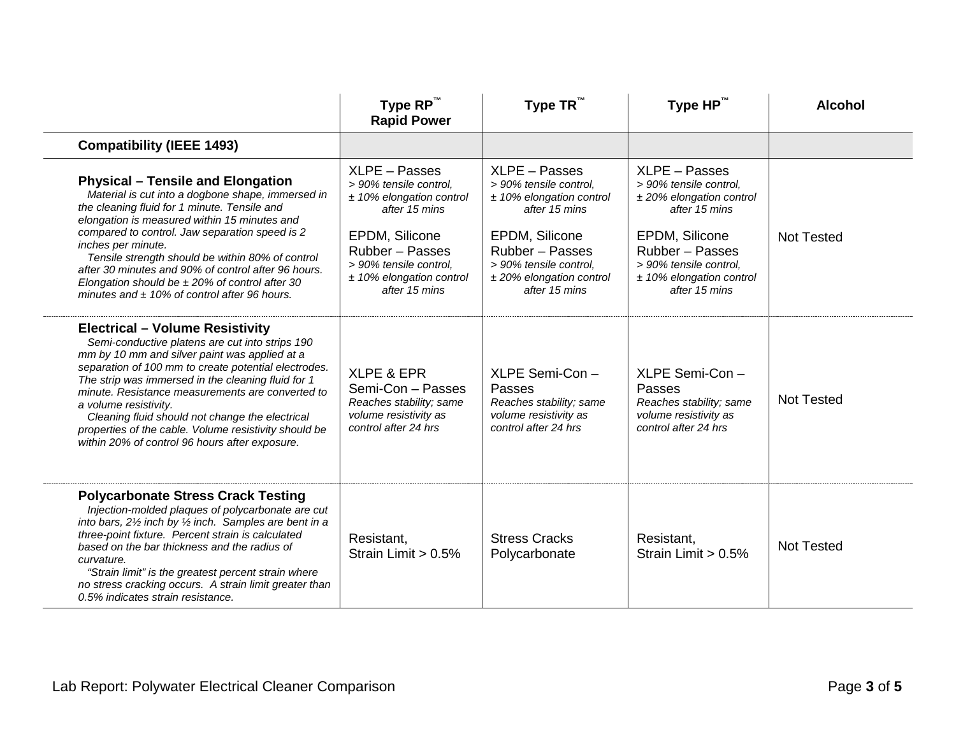|                                                                                                                                                                                                                                                                                                                                                                                                                                                                                                     | Type RP™<br><b>Rapid Power</b>                                                                                                                                                                       | Type TR <sup>™</sup>                                                                                                                                                                                 | Type HP™                                                                                                                                                                                             | <b>Alcohol</b>    |
|-----------------------------------------------------------------------------------------------------------------------------------------------------------------------------------------------------------------------------------------------------------------------------------------------------------------------------------------------------------------------------------------------------------------------------------------------------------------------------------------------------|------------------------------------------------------------------------------------------------------------------------------------------------------------------------------------------------------|------------------------------------------------------------------------------------------------------------------------------------------------------------------------------------------------------|------------------------------------------------------------------------------------------------------------------------------------------------------------------------------------------------------|-------------------|
| <b>Compatibility (IEEE 1493)</b>                                                                                                                                                                                                                                                                                                                                                                                                                                                                    |                                                                                                                                                                                                      |                                                                                                                                                                                                      |                                                                                                                                                                                                      |                   |
| <b>Physical – Tensile and Elongation</b><br>Material is cut into a dogbone shape, immersed in<br>the cleaning fluid for 1 minute. Tensile and<br>elongation is measured within 15 minutes and<br>compared to control. Jaw separation speed is 2<br>inches per minute.<br>Tensile strength should be within 80% of control<br>after 30 minutes and 90% of control after 96 hours.<br>Elongation should be $\pm$ 20% of control after 30<br>minutes and $\pm$ 10% of control after 96 hours.          | XLPE - Passes<br>> 90% tensile control,<br>$±$ 10% elongation control<br>after 15 mins<br>EPDM, Silicone<br>Rubber - Passes<br>> 90% tensile control,<br>$±$ 10% elongation control<br>after 15 mins | XLPE - Passes<br>> 90% tensile control,<br>$±$ 10% elongation control<br>after 15 mins<br>EPDM, Silicone<br>Rubber - Passes<br>> 90% tensile control,<br>$±$ 20% elongation control<br>after 15 mins | XLPE - Passes<br>> 90% tensile control,<br>$±$ 20% elongation control<br>after 15 mins<br>EPDM, Silicone<br>Rubber - Passes<br>> 90% tensile control,<br>$±$ 10% elongation control<br>after 15 mins | <b>Not Tested</b> |
| <b>Electrical - Volume Resistivity</b><br>Semi-conductive platens are cut into strips 190<br>mm by 10 mm and silver paint was applied at a<br>separation of 100 mm to create potential electrodes.<br>The strip was immersed in the cleaning fluid for 1<br>minute. Resistance measurements are converted to<br>a volume resistivity.<br>Cleaning fluid should not change the electrical<br>properties of the cable. Volume resistivity should be<br>within 20% of control 96 hours after exposure. | <b>XLPE &amp; EPR</b><br>Semi-Con - Passes<br>Reaches stability; same<br>volume resistivity as<br>control after 24 hrs                                                                               | XLPE Semi-Con-<br>Passes<br>Reaches stability; same<br>volume resistivity as<br>control after 24 hrs                                                                                                 | XLPE Semi-Con-<br>Passes<br>Reaches stability; same<br>volume resistivity as<br>control after 24 hrs                                                                                                 | <b>Not Tested</b> |
| <b>Polycarbonate Stress Crack Testing</b><br>Injection-molded plaques of polycarbonate are cut<br>into bars, $2\frac{1}{2}$ inch by $\frac{1}{2}$ inch. Samples are bent in a<br>three-point fixture. Percent strain is calculated<br>based on the bar thickness and the radius of<br>curvature.<br>"Strain limit" is the greatest percent strain where<br>no stress cracking occurs. A strain limit greater than<br>0.5% indicates strain resistance.                                              | Resistant,<br>Strain Limit > 0.5%                                                                                                                                                                    | <b>Stress Cracks</b><br>Polycarbonate                                                                                                                                                                | Resistant,<br>Strain Limit $> 0.5\%$                                                                                                                                                                 | <b>Not Tested</b> |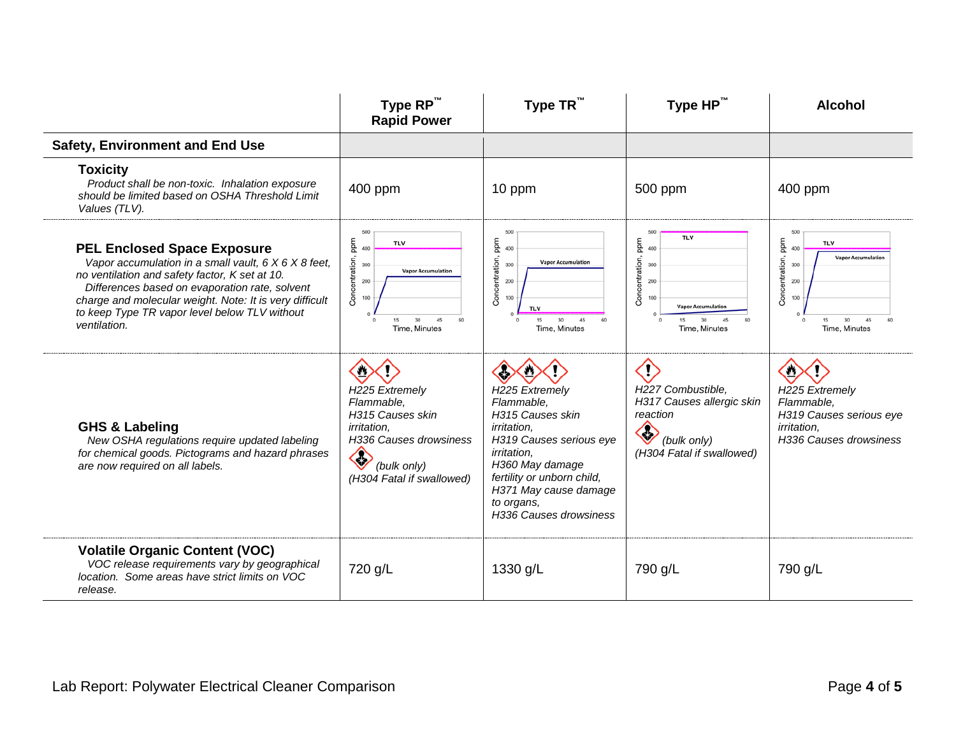|                                                                                                                                                                                                                                                                                                                            | Type RP™<br><b>Rapid Power</b>                                                                                                                    | Type $TR^m$                                                                                                                                                                                                                               | Type HP™                                                                                                                                    | <b>Alcohol</b>                                                                                                                      |
|----------------------------------------------------------------------------------------------------------------------------------------------------------------------------------------------------------------------------------------------------------------------------------------------------------------------------|---------------------------------------------------------------------------------------------------------------------------------------------------|-------------------------------------------------------------------------------------------------------------------------------------------------------------------------------------------------------------------------------------------|---------------------------------------------------------------------------------------------------------------------------------------------|-------------------------------------------------------------------------------------------------------------------------------------|
| <b>Safety, Environment and End Use</b>                                                                                                                                                                                                                                                                                     |                                                                                                                                                   |                                                                                                                                                                                                                                           |                                                                                                                                             |                                                                                                                                     |
| <b>Toxicity</b><br>Product shall be non-toxic. Inhalation exposure<br>should be limited based on OSHA Threshold Limit<br>Values (TLV).                                                                                                                                                                                     | 400 ppm                                                                                                                                           | 10 ppm                                                                                                                                                                                                                                    | 500 ppm                                                                                                                                     | 400 ppm                                                                                                                             |
| <b>PEL Enclosed Space Exposure</b><br>Vapor accumulation in a small vault, 6 X 6 X 8 feet,<br>no ventilation and safety factor, K set at 10.<br>Differences based on evaporation rate, solvent<br>charge and molecular weight. Note: It is very difficult<br>to keep Type TR vapor level below TLV without<br>ventilation. | 500<br>Concentration, ppm<br><b>TLV</b><br>300<br><b>Vapor Accumulation</b><br>200<br>30<br>45<br>15<br>Time, Minutes                             | 500<br>ppm<br>400<br>Concentration,<br><b>Vapor Accumulation</b><br>300<br>200<br>100<br><b>TIV</b><br>15<br>30 <sup>°</sup><br>45<br>Time, Minutes                                                                                       | 500<br><b>TLV</b><br>Concentration, ppm<br>400<br>300<br>200<br>100<br><b>Vapor Accumulation</b><br>15<br>30<br>45<br>Time, Minutes         | 500<br>Concentration, ppm<br><b>TLV</b><br>400<br><b>Vapor Accumulation</b><br>300<br>200<br>100<br>30<br>45<br>15<br>Time, Minutes |
| <b>GHS &amp; Labeling</b><br>New OSHA regulations require updated labeling<br>for chemical goods. Pictograms and hazard phrases<br>are now required on all labels.                                                                                                                                                         | H225 Extremely<br>Flammable,<br>H315 Causes skin<br><i>irritation.</i><br>H336 Causes drowsiness<br>◈<br>(bulk only)<br>(H304 Fatal if swallowed) | H225 Extremely<br>Flammable,<br>H315 Causes skin<br><i>irritation.</i><br>H319 Causes serious eye<br><i>irritation,</i><br>H360 May damage<br>fertility or unborn child,<br>H371 May cause damage<br>to organs,<br>H336 Causes drowsiness | $\langle \mathsf{I} \rangle$<br>H227 Combustible,<br>H317 Causes allergic skin<br>reaction<br>ℰ<br>(bulk only)<br>(H304 Fatal if swallowed) | $\bullet$<br>H225 Extremely<br>Flammable,<br>H319 Causes serious eye<br><i>irritation.</i><br>H336 Causes drowsiness                |
| <b>Volatile Organic Content (VOC)</b><br>VOC release requirements vary by geographical<br>location. Some areas have strict limits on VOC<br>release.                                                                                                                                                                       | 720 g/L                                                                                                                                           | 1330 g/L                                                                                                                                                                                                                                  | 790 g/L                                                                                                                                     | 790 g/L                                                                                                                             |